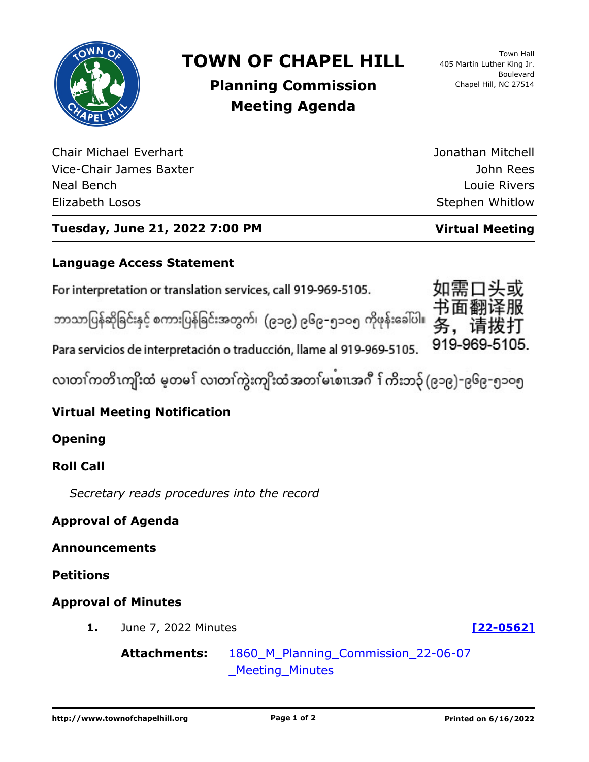

# **TOWN OF CHAPEL HILL**

Town Hall 405 Martin Luther King Jr. Boulevard Chapel Hill, NC 27514

# **Planning Commission Meeting Agenda**

Chair Michael Everhart Vice-Chair James Baxter Neal Bench Elizabeth Losos

John Rees Louie Rivers Stephen Whitlow

Jonathan Mitchell

# **Tuesday, June 21, 2022 7:00 PM Virtual Meeting**

# **Language Access Statement**

For interpretation or translation services, call 919-969-5105.

ဘာသာပြန်ဆိုခြင်းနှင့် စကားပြန်ခြင်းအတွက်၊ (၉၁၉) ၉၆၉–၅၁ဝ၅ ကိုဖုန်းခေါ်ပါ။

919-969-5105. Para servicios de interpretación o traducción, llame al 919-969-5105.

လ၊တၢ်ကတိၤကျိးထံ မ့တမ႑် လ၊တၢ်ကွဲးကျိးထံအတၤ်မၤစၢ၊အဂီ ႑်ကိးဘ၃် (၉၁၉)–၉၆၉–၅၁၀၅

# **Virtual Meeting Notification**

**Opening**

# **Roll Call**

*Secretary reads procedures into the record*

#### **Approval of Agenda**

**Announcements**

**Petitions**

# **Approval of Minutes**

**1.** June 7, 2022 Minutes **[\[22-0562\]](http://chapelhill.legistar.com/gateway.aspx?m=l&id=/matter.aspx?key=8108)**

**Attachments:** [1860\\_M\\_Planning\\_Commission\\_22-06-07](http://chapelhill.legistar.com/gateway.aspx?M=F&ID=197aea12-7074-4526-bc38-7f6754505775.pdf) Meeting Minutes